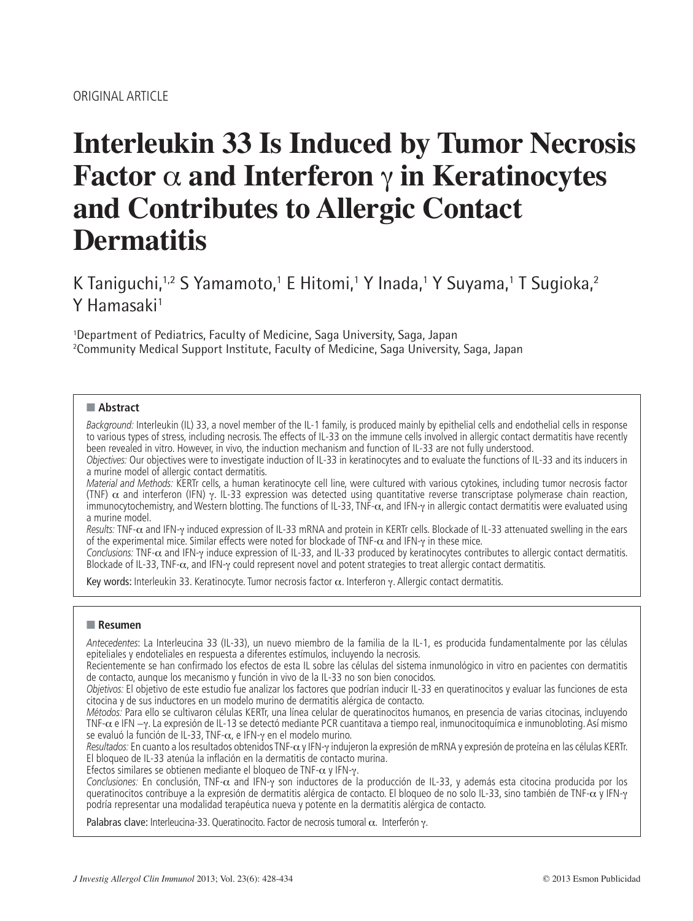# **Interleukin 33 Is Induced by Tumor Necrosis Factor**  $\alpha$  and Interferon  $\gamma$  in Keratinocytes **and Contributes to Allergic Contact Dermatitis**

K Taniguchi,1,2 S Yamamoto,1 E Hitomi,1 Y Inada,1 Y Suyama,1 T Sugioka,2 Y Hamasaki<sup>1</sup>

1 Department of Pediatrics, Faculty of Medicine, Saga University, Saga, Japan 2 Community Medical Support Institute, Faculty of Medicine, Saga University, Saga, Japan

## ■ **Abstract**

*Background:* Interleukin (IL) 33, a novel member of the IL-1 family, is produced mainly by epithelial cells and endothelial cells in response to various types of stress, including necrosis. The effects of IL-33 on the immune cells involved in allergic contact dermatitis have recently been revealed in vitro. However, in vivo, the induction mechanism and function of IL-33 are not fully understood.

*Objectives:* Our objectives were to investigate induction of IL-33 in keratinocytes and to evaluate the functions of IL-33 and its inducers in a murine model of allergic contact dermatitis.

*Material and Methods:* KERTr cells, a human keratinocyte cell line, were cultured with various cytokines, including tumor necrosis factor (TNF)  $\alpha$  and interferon (IFN) y. IL-33 expression was detected using quantitative reverse transcriptase polymerase chain reaction, immunocytochemistry, and Western blotting. The functions of IL-33, TNF- $\alpha$ , and IFN-y in allergic contact dermatitis were evaluated using a murine model.

Results: TNF- $\alpha$  and IFN-y induced expression of IL-33 mRNA and protein in KERTr cells. Blockade of IL-33 attenuated swelling in the ears of the experimental mice. Similar effects were noted for blockade of TNF- $\alpha$  and IFN- $\gamma$  in these mice.

Conclusions: TNF-α and IFN-γ induce expression of IL-33, and IL-33 produced by keratinocytes contributes to allergic contact dermatitis. Blockade of IL-33, TNF- $\alpha$ , and IFN-y could represent novel and potent strategies to treat allergic contact dermatitis.

Key words: Interleukin 33. Keratinocyte. Tumor necrosis factor  $\alpha$ . Interferon y. Allergic contact dermatitis.

## ■ **Resumen**

*Antecedentes*: La Interleucina 33 (IL-33), un nuevo miembro de la familia de la IL-1, es producida fundamentalmente por las células epiteliales y endoteliales en respuesta a diferentes estímulos, incluyendo la necrosis.

Recientemente se han confirmado los efectos de esta IL sobre las células del sistema inmunológico in vitro en pacientes con dermatitis de contacto, aunque los mecanismo y función in vivo de la IL-33 no son bien conocidos.

*Objetivos:* El objetivo de este estudio fue analizar los factores que podrían inducir IL-33 en queratinocitos y evaluar las funciones de esta citocina y de sus inductores en un modelo murino de dermatitis alérgica de contacto.

*Métodos:* Para ello se cultivaron células KERTr, una línea celular de queratinocitos humanos, en presencia de varias citocinas, incluyendo TNF-α e IFN -γ. La expresión de IL-13 se detectó mediante PCR cuantitava a tiempo real, inmunocitoquímica e inmunobloting. Así mismo se evaluó la función de IL-33, TNF- $\alpha$ , e IFN- $\gamma$  en el modelo murino.

Resultados: En cuanto a los resultados obtenidos TNF- $\alpha$  y IFN-y indujeron la expresión de mRNA y expresión de proteína en las células KERTr. El bloqueo de IL-33 atenúa la inflación en la dermatitis de contacto murina.

Efectos similares se obtienen mediante el bloqueo de TNF- $\alpha$  y IFN- $\gamma$ .

Conclusiones: En conclusión, TNF-α and IFN-y son inductores de la producción de IL-33, y además esta citocina producida por los queratinocitos contribuye a la expresión de dermatitis alérgica de contacto. El bloqueo de no solo IL-33, sino también de TNF- $\alpha$  y IFN- $\gamma$ podría representar una modalidad terapéutica nueva y potente en la dermatitis alérgica de contacto.

Palabras clave: Interleucina-33. Queratinocito. Factor de necrosis tumoral  $\alpha$ . Interferón  $\gamma$ .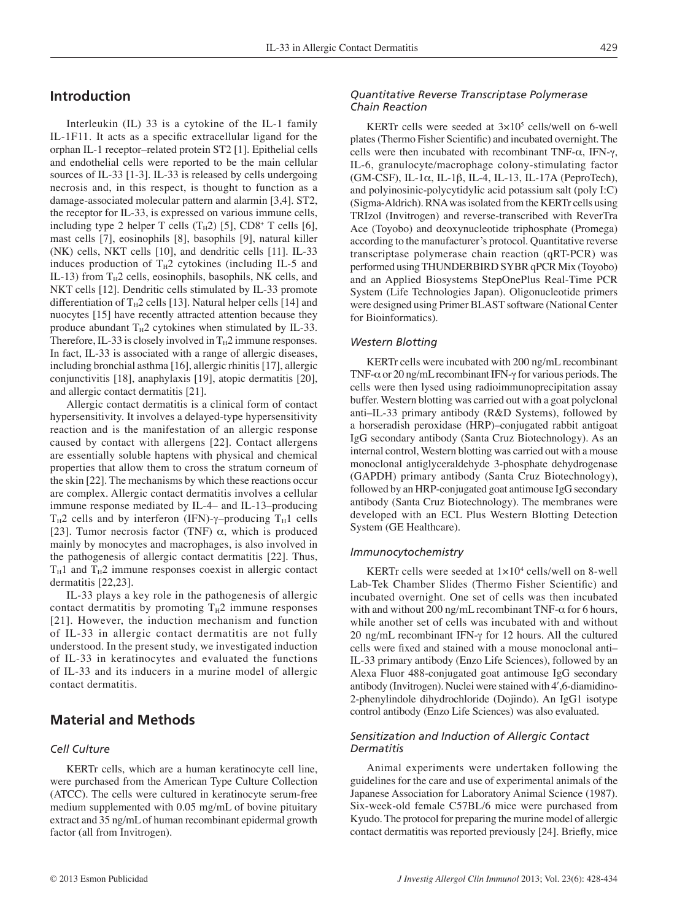# **Introduction**

Interleukin (IL) 33 is a cytokine of the IL-1 family IL-1F11. It acts as a specific extracellular ligand for the orphan IL-1 receptor–related protein ST2 [1]. Epithelial cells and endothelial cells were reported to be the main cellular sources of IL-33 [1-3]. IL-33 is released by cells undergoing necrosis and, in this respect, is thought to function as a damage-associated molecular pattern and alarmin [3,4]. ST2, the receptor for IL-33, is expressed on various immune cells, including type 2 helper T cells  $(T_H2)$  [5],  $CD8^+$  T cells [6], mast cells [7], eosinophils [8], basophils [9], natural killer (NK) cells, NKT cells [10], and dendritic cells [11]. IL-33 induces production of  $T_H2$  cytokines (including IL-5 and IL-13) from  $T_H2$  cells, eosinophils, basophils, NK cells, and NKT cells [12]. Dendritic cells stimulated by IL-33 promote differentiation of  $T_H2$  cells [13]. Natural helper cells [14] and nuocytes [15] have recently attracted attention because they produce abundant  $T_H2$  cytokines when stimulated by IL-33. Therefore, IL-33 is closely involved in  $T_H2$  immune responses. In fact, IL-33 is associated with a range of allergic diseases, including bronchial asthma [16], allergic rhinitis [17], allergic conjunctivitis [18], anaphylaxis [19], atopic dermatitis [20], and allergic contact dermatitis [21].

Allergic contact dermatitis is a clinical form of contact hypersensitivity. It involves a delayed-type hypersensitivity reaction and is the manifestation of an allergic response caused by contact with allergens [22]. Contact allergens are essentially soluble haptens with physical and chemical properties that allow them to cross the stratum corneum of the skin [22]. The mechanisms by which these reactions occur are complex. Allergic contact dermatitis involves a cellular immune response mediated by IL-4– and IL-13–producing  $T_H2$  cells and by interferon (IFN)- $\gamma$ –producing  $T_H1$  cells [23]. Tumor necrosis factor (TNF)  $\alpha$ , which is produced mainly by monocytes and macrophages, is also involved in the pathogenesis of allergic contact dermatitis [22]. Thus,  $T_H1$  and  $T_H2$  immune responses coexist in allergic contact dermatitis [22,23].

IL-33 plays a key role in the pathogenesis of allergic contact dermatitis by promoting  $T_H2$  immune responses [21]. However, the induction mechanism and function of IL-33 in allergic contact dermatitis are not fully understood. In the present study, we investigated induction of IL-33 in keratinocytes and evaluated the functions of IL-33 and its inducers in a murine model of allergic contact dermatitis.

# **Material and Methods**

## *Cell Culture*

KERTr cells, which are a human keratinocyte cell line, were purchased from the American Type Culture Collection (ATCC). The cells were cultured in keratinocyte serum-free medium supplemented with 0.05 mg/mL of bovine pituitary extract and 35 ng/mL of human recombinant epidermal growth factor (all from Invitrogen).

## *Quantitative Reverse Transcriptase Polymerase Chain Reaction*

KERTr cells were seeded at  $3 \times 10^5$  cells/well on 6-well plates (Thermo Fisher Scientific) and incubated overnight. The cells were then incubated with recombinant TNF- $\alpha$ , IFN- $\gamma$ , IL-6, granulocyte/macrophage colony-stimulating factor (GM-CSF), IL-1 $\alpha$ , IL-1 $\beta$ , IL-4, IL-13, IL-17A (PeproTech), and polyinosinic-polycytidylic acid potassium salt (poly I:C) (Sigma-Aldrich). RNA was isolated from the KERTr cells using TRIzol (Invitrogen) and reverse-transcribed with ReverTra Ace (Toyobo) and deoxynucleotide triphosphate (Promega) according to the manufacturer's protocol. Quantitative reverse transcriptase polymerase chain reaction (qRT-PCR) was performed using THUNDERBIRD SYBR qPCR Mix (Toyobo) and an Applied Biosystems StepOnePlus Real-Time PCR System (Life Technologies Japan). Oligonucleotide primers were designed using Primer BLAST software (National Center for Bioinformatics).

#### *Western Blotting*

KERTr cells were incubated with 200 ng/mL recombinant TNF- $\alpha$  or 20 ng/mL recombinant IFN- $\gamma$  for various periods. The cells were then lysed using radioimmunoprecipitation assay buffer. Western blotting was carried out with a goat polyclonal anti–IL-33 primary antibody (R&D Systems), followed by a horseradish peroxidase (HRP)–conjugated rabbit antigoat IgG secondary antibody (Santa Cruz Biotechnology). As an internal control, Western blotting was carried out with a mouse monoclonal antiglyceraldehyde 3-phosphate dehydrogenase (GAPDH) primary antibody (Santa Cruz Biotechnology), followed by an HRP-conjugated goat antimouse IgG secondary antibody (Santa Cruz Biotechnology). The membranes were developed with an ECL Plus Western Blotting Detection System (GE Healthcare).

#### *Immunocytochemistry*

KERTr cells were seeded at  $1 \times 10^4$  cells/well on 8-well Lab-Tek Chamber Slides (Thermo Fisher Scientific) and incubated overnight. One set of cells was then incubated with and without 200 ng/mL recombinant TNF- $\alpha$  for 6 hours, while another set of cells was incubated with and without 20 ng/mL recombinant IFN- $\gamma$  for 12 hours. All the cultured cells were fixed and stained with a mouse monoclonal anti-IL-33 primary antibody (Enzo Life Sciences), followed by an Alexa Fluor 488-conjugated goat antimouse IgG secondary antibody (Invitrogen). Nuclei were stained with 4', 6-diamidino-2-phenylindole dihydrochloride (Dojindo). An IgG1 isotype control antibody (Enzo Life Sciences) was also evaluated.

## *Sensitization and Induction of Allergic Contact Dermatitis*

Animal experiments were undertaken following the guidelines for the care and use of experimental animals of the Japanese Association for Laboratory Animal Science (1987). Six-week-old female C57BL/6 mice were purchased from Kyudo. The protocol for preparing the murine model of allergic contact dermatitis was reported previously [24]. Briefly, mice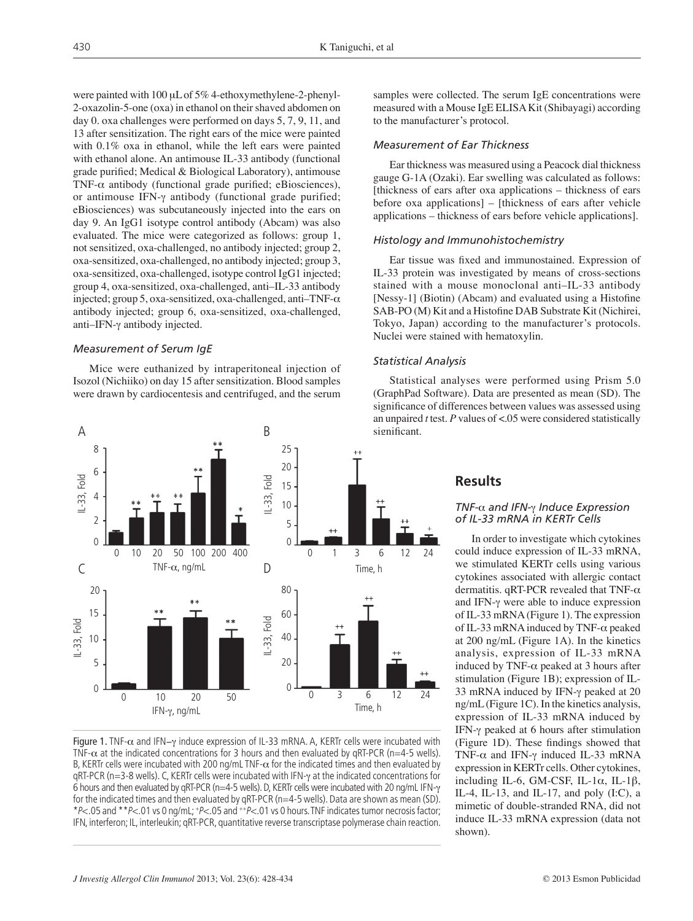were painted with 100  $\mu$ L of 5% 4-ethoxymethylene-2-phenyl-2-oxazolin-5-one (oxa) in ethanol on their shaved abdomen on day 0. oxa challenges were performed on days 5, 7, 9, 11, and 13 after sensitization. The right ears of the mice were painted with 0.1% oxa in ethanol, while the left ears were painted with ethanol alone. An antimouse IL-33 antibody (functional grade purified; Medical  $& Biological Laboratory$ ), antimouse TNF- $\alpha$  antibody (functional grade purified; eBiosciences), or antimouse IFN- $\gamma$  antibody (functional grade purified; eBiosciences) was subcutaneously injected into the ears on day 9. An IgG1 isotype control antibody (Abcam) was also evaluated. The mice were categorized as follows: group 1, not sensitized, oxa-challenged, no antibody injected; group 2, oxa-sensitized, oxa-challenged, no antibody injected; group 3, oxa-sensitized, oxa-challenged, isotype control IgG1 injected; group 4, oxa-sensitized, oxa-challenged, anti–IL-33 antibody injected; group 5, oxa-sensitized, oxa-challenged, anti-TNF- $\alpha$ antibody injected; group 6, oxa-sensitized, oxa-challenged, anti-IFN- $\gamma$  antibody injected.

## *Measurement of Serum IgE*

Mice were euthanized by intraperitoneal injection of Isozol (Nichiiko) on day 15 after sensitization. Blood samples were drawn by cardiocentesis and centrifuged, and the serum



Figure 1. TNF- $\alpha$  and IFN- $\gamma$  induce expression of IL-33 mRNA. A, KERTr cells were incubated with TNF- $\alpha$  at the indicated concentrations for 3 hours and then evaluated by gRT-PCR (n=4-5 wells). B. KERTr cells were incubated with 200 ng/mL TNF- $\alpha$  for the indicated times and then evaluated by  $qRT-PCR$  ( $n=3-8$  wells). C, KERTr cells were incubated with IFN- $\gamma$  at the indicated concentrations for 6 hours and then evaluated by qRT-PCR (n=4-5 wells). D, KERTr cells were incubated with 20 ng/mL IFN- $\gamma$ for the indicated times and then evaluated by qRT-PCR (n=4-5 wells). Data are shown as mean (SD). \**P*<.05 and \*\**P*<.01 vs 0 ng/mL; +*P*<.05 and ++*P*<.01 vs 0 hours. TNF indicates tumor necrosis factor; IFN, interferon; IL, interleukin; qRT-PCR, quantitative reverse transcriptase polymerase chain reaction.

samples were collected. The serum IgE concentrations were measured with a Mouse IgE ELISA Kit (Shibayagi) according to the manufacturer's protocol.

## *Measurement of Ear Thickness*

Ear thickness was measured using a Peacock dial thickness gauge G-1A (Ozaki). Ear swelling was calculated as follows: [thickness of ears after oxa applications – thickness of ears before oxa applications] – [thickness of ears after vehicle applications – thickness of ears before vehicle applications].

## *Histology and Immunohistochemistry*

Ear tissue was fixed and immunostained. Expression of IL-33 protein was investigated by means of cross-sections stained with a mouse monoclonal anti–IL-33 antibody [Nessy-1] (Biotin) (Abcam) and evaluated using a Histofine SAB-PO (M) Kit and a Histofine DAB Substrate Kit (Nichirei, Tokyo, Japan) according to the manufacturer's protocols. Nuclei were stained with hematoxylin.

## *Statistical Analysis*

Statistical analyses were performed using Prism 5.0 (GraphPad Software). Data are presented as mean (SD). The significance of differences between values was assessed using an unpaired *t* test. *P* values of <.05 were considered statistically significant.

## **Results**

## *TNF-*\_ *and IFN-*a *Induce Expression of IL-33 mRNA in KERTr Cells*

In order to investigate which cytokines could induce expression of IL-33 mRNA, we stimulated KERTr cells using various cytokines associated with allergic contact dermatitis. qRT-PCR revealed that TNF- $\alpha$ and IFN- $\gamma$  were able to induce expression of IL-33 mRNA (Figure 1). The expression of IL-33 mRNA induced by TNF- $\alpha$  peaked at 200 ng/mL (Figure 1A). In the kinetics analysis, expression of IL-33 mRNA induced by TNF- $\alpha$  peaked at 3 hours after stimulation (Figure 1B); expression of IL-33 mRNA induced by IFN- $\gamma$  peaked at 20 ng/mL (Figure 1C). In the kinetics analysis, expression of IL-33 mRNA induced by IFN- $\gamma$  peaked at 6 hours after stimulation (Figure 1D). These findings showed that TNF- $\alpha$  and IFN- $\gamma$  induced IL-33 mRNA expression in KERTr cells. Other cytokines, including IL-6, GM-CSF, IL-1 $\alpha$ , IL-1 $\beta$ , IL-4, IL-13, and IL-17, and poly (I:C), a mimetic of double-stranded RNA, did not induce IL-33 mRNA expression (data not shown).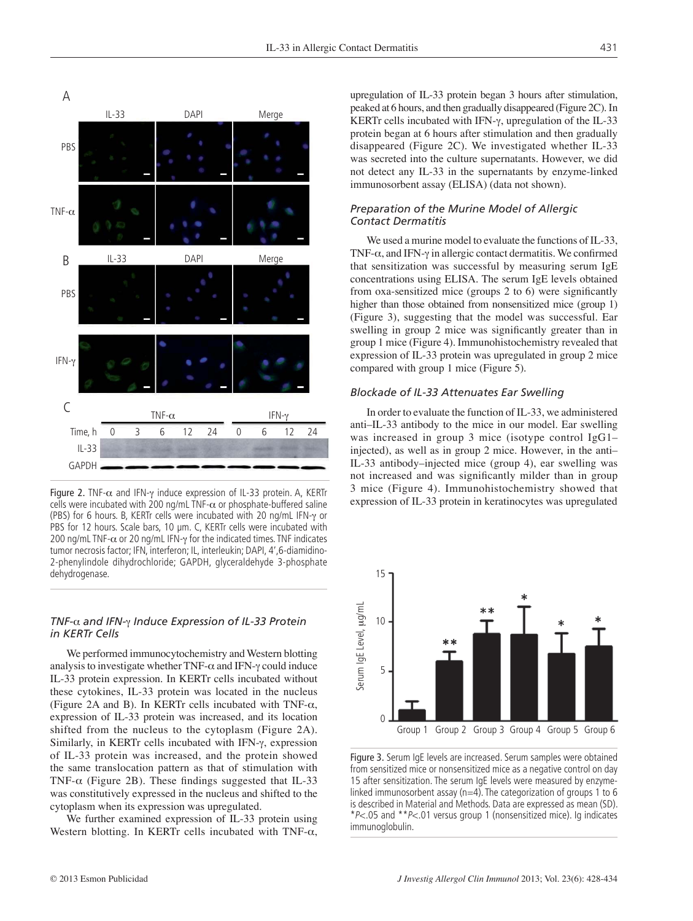

Figure 2. TNF- $\alpha$  and IFN- $\gamma$  induce expression of IL-33 protein. A, KERTr cells were incubated with 200 ng/mL TNF- $\alpha$  or phosphate-buffered saline (PBS) for 6 hours. B, KERTr cells were incubated with 20 ng/mL IFN- $\gamma$  or PBS for 12 hours. Scale bars, 10 μm. C, KERTr cells were incubated with 200 ng/mL TNF- $\alpha$  or 20 ng/mL IFN- $\gamma$  for the indicated times. TNF indicates tumor necrosis factor; IFN, interferon; IL, interleukin; DAPI, 4',6-diamidino-2-phenylindole dihydrochloride; GAPDH, glyceraldehyde 3-phosphate dehydrogenase.

## *TNF-*\_ *and IFN-*a *Induce Expression of IL-33 Protein in KERTr Cells*

We performed immunocytochemistry and Western blotting analysis to investigate whether TNF- $\alpha$  and IFN- $\gamma$  could induce IL-33 protein expression. In KERTr cells incubated without these cytokines, IL-33 protein was located in the nucleus (Figure 2A and B). In KERTr cells incubated with TNF- $\alpha$ , expression of IL-33 protein was increased, and its location shifted from the nucleus to the cytoplasm (Figure 2A). Similarly, in KERTr cells incubated with IFN- $\gamma$ , expression of IL-33 protein was increased, and the protein showed the same translocation pattern as that of stimulation with TNF- $\alpha$  (Figure 2B). These findings suggested that IL-33 was constitutively expressed in the nucleus and shifted to the cytoplasm when its expression was upregulated.

We further examined expression of IL-33 protein using Western blotting. In KERTr cells incubated with TNF- $\alpha$ , upregulation of IL-33 protein began 3 hours after stimulation, peaked at 6 hours, and then gradually disappeared (Figure 2C). In KERTr cells incubated with IFN- $\gamma$ , upregulation of the IL-33 protein began at 6 hours after stimulation and then gradually disappeared (Figure 2C). We investigated whether IL-33 was secreted into the culture supernatants. However, we did not detect any IL-33 in the supernatants by enzyme-linked immunosorbent assay (ELISA) (data not shown).

## *Preparation of the Murine Model of Allergic Contact Dermatitis*

We used a murine model to evaluate the functions of IL-33, TNF- $\alpha$ , and IFN- $\gamma$  in allergic contact dermatitis. We confirmed that sensitization was successful by measuring serum IgE concentrations using ELISA. The serum IgE levels obtained from oxa-sensitized mice (groups  $2$  to  $6$ ) were significantly higher than those obtained from nonsensitized mice (group 1) (Figure 3), suggesting that the model was successful. Ear swelling in group 2 mice was significantly greater than in group 1 mice (Figure 4). Immunohistochemistry revealed that expression of IL-33 protein was upregulated in group 2 mice compared with group 1 mice (Figure 5).

#### *Blockade of IL-33 Attenuates Ear Swelling*

In order to evaluate the function of IL-33, we administered anti–IL-33 antibody to the mice in our model. Ear swelling was increased in group 3 mice (isotype control IgG1– injected), as well as in group 2 mice. However, in the anti– IL-33 antibody–injected mice (group 4), ear swelling was not increased and was significantly milder than in group 3 mice (Figure 4). Immunohistochemistry showed that expression of IL-33 protein in keratinocytes was upregulated



Figure 3. Serum IgE levels are increased. Serum samples were obtained from sensitized mice or nonsensitized mice as a negative control on day 15 after sensitization. The serum IgE levels were measured by enzymelinked immunosorbent assay ( $n=4$ ). The categorization of groups 1 to 6 is described in Material and Methods. Data are expressed as mean (SD). \**P*<.05 and \*\**P*<.01 versus group 1 (nonsensitized mice). Ig indicates immunoglobulin.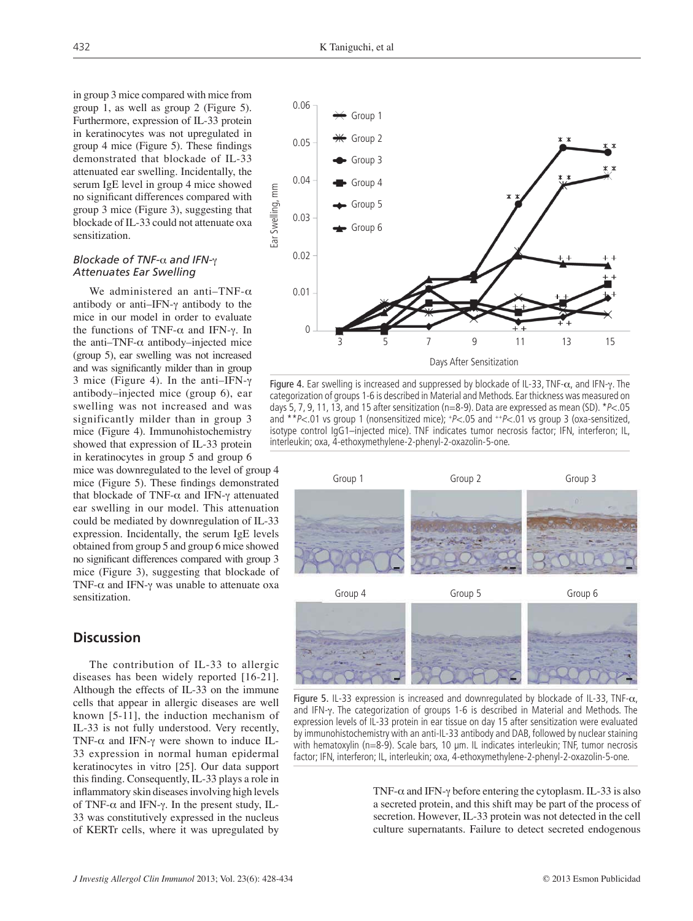in group 3 mice compared with mice from group 1, as well as group 2 (Figure 5). Furthermore, expression of IL-33 protein in keratinocytes was not upregulated in group  $4$  mice (Figure 5). These findings demonstrated that blockade of IL-33 attenuated ear swelling. Incidentally, the serum IgE level in group 4 mice showed no significant differences compared with group 3 mice (Figure 3), suggesting that blockade of IL-33 could not attenuate oxa sensitization.

### **Blockade of TNF-α and IFN-**γ *Attenuates Ear Swelling*

We administered an anti-TNF- $\alpha$ antibody or anti-IFN- $\gamma$  antibody to the mice in our model in order to evaluate the functions of TNF- $\alpha$  and IFN- $\gamma$ . In the anti-TNF- $\alpha$  antibody–injected mice (group 5), ear swelling was not increased and was significantly milder than in group 3 mice (Figure 4). In the anti-IFN- $\nu$ antibody–injected mice (group 6), ear swelling was not increased and was significantly milder than in group 3 mice (Figure 4). Immunohistochemistry showed that expression of IL-33 protein in keratinocytes in group 5 and group 6

mice was downregulated to the level of group 4 mice (Figure 5). These findings demonstrated that blockade of TNF- $\alpha$  and IFN- $\gamma$  attenuated ear swelling in our model. This attenuation could be mediated by downregulation of IL-33 expression. Incidentally, the serum IgE levels obtained from group 5 and group 6 mice showed no significant differences compared with group 3 mice (Figure 3), suggesting that blockade of TNF- $\alpha$  and IFN- $\gamma$  was unable to attenuate oxa sensitization.

# **Discussion**

The contribution of IL-33 to allergic diseases has been widely reported [16-21]. Although the effects of IL-33 on the immune cells that appear in allergic diseases are well known [5-11], the induction mechanism of IL-33 is not fully understood. Very recently, TNF- $\alpha$  and IFN- $\gamma$  were shown to induce IL-33 expression in normal human epidermal keratinocytes in vitro [25]. Our data support this finding. Consequently, IL-33 plays a role in inflammatory skin diseases involving high levels of TNF- $\alpha$  and IFN- $\gamma$ . In the present study, IL-33 was constitutively expressed in the nucleus of KERTr cells, where it was upregulated by



Figure 4. Ear swelling is increased and suppressed by blockade of IL-33, TNF- $\alpha$ , and IFN- $\gamma$ . The categorization of groups 1-6 is described in Material and Methods. Ear thickness was measured on days 5, 7, 9, 11, 13, and 15 after sensitization (n=8-9). Data are expressed as mean (SD). \**P*<.05 and \*\**P*<.01 vs group 1 (nonsensitized mice); +*P*<.05 and ++*P*<.01 vs group 3 (oxa-sensitized, isotype control IgG1–injected mice). TNF indicates tumor necrosis factor; IFN, interferon; IL, interleukin; oxa, 4-ethoxymethylene-2-phenyl-2-oxazolin-5-one.



Figure 5. IL-33 expression is increased and downregulated by blockade of IL-33, TNF- $\alpha$ , and IFN- $\gamma$ . The categorization of groups 1-6 is described in Material and Methods. The expression levels of IL-33 protein in ear tissue on day 15 after sensitization were evaluated by immunohistochemistry with an anti-IL-33 antibody and DAB, followed by nuclear staining with hematoxylin (n=8-9). Scale bars, 10 μm. IL indicates interleukin; TNF, tumor necrosis factor; IFN, interferon; IL, interleukin; oxa, 4-ethoxymethylene-2-phenyl-2-oxazolin-5-one.

TNF- $\alpha$  and IFN- $\gamma$  before entering the cytoplasm. IL-33 is also a secreted protein, and this shift may be part of the process of secretion. However, IL-33 protein was not detected in the cell culture supernatants. Failure to detect secreted endogenous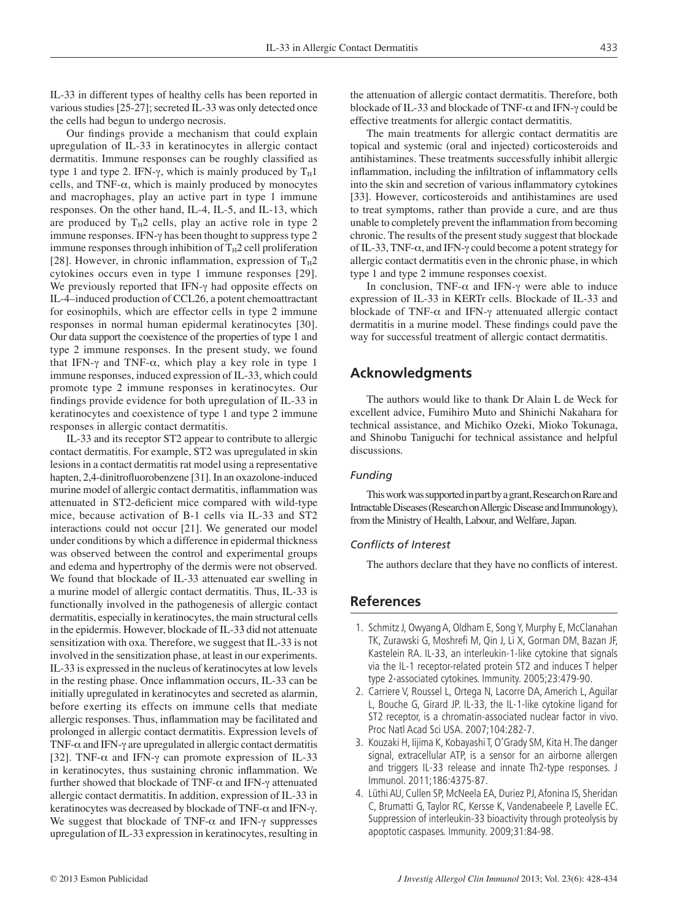IL-33 in different types of healthy cells has been reported in various studies [25-27]; secreted IL-33 was only detected once the cells had begun to undergo necrosis.

Our findings provide a mechanism that could explain upregulation of IL-33 in keratinocytes in allergic contact dermatitis. Immune responses can be roughly classified as type 1 and type 2. IFN- $\gamma$ , which is mainly produced by  $T_H1$ cells, and TNF- $\alpha$ , which is mainly produced by monocytes and macrophages, play an active part in type 1 immune responses. On the other hand, IL-4, IL-5, and IL-13, which are produced by  $T_H2$  cells, play an active role in type 2 immune responses. IFN- $\gamma$  has been thought to suppress type 2 immune responses through inhibition of  $T_H2$  cell proliferation [28]. However, in chronic inflammation, expression of  $T_H2$ cytokines occurs even in type 1 immune responses [29]. We previously reported that IFN- $\gamma$  had opposite effects on IL-4–induced production of CCL26, a potent chemoattractant for eosinophils, which are effector cells in type 2 immune responses in normal human epidermal keratinocytes [30]. Our data support the coexistence of the properties of type 1 and type 2 immune responses. In the present study, we found that IFN- $\gamma$  and TNF- $\alpha$ , which play a key role in type 1 immune responses, induced expression of IL-33, which could promote type 2 immune responses in keratinocytes. Our findings provide evidence for both upregulation of IL-33 in keratinocytes and coexistence of type 1 and type 2 immune responses in allergic contact dermatitis.

IL-33 and its receptor ST2 appear to contribute to allergic contact dermatitis. For example, ST2 was upregulated in skin lesions in a contact dermatitis rat model using a representative hapten, 2,4-dinitrofluorobenzene [31]. In an oxazolone-induced murine model of allergic contact dermatitis, inflammation was attenuated in ST2-deficient mice compared with wild-type mice, because activation of B-1 cells via IL-33 and ST2 interactions could not occur [21]. We generated our model under conditions by which a difference in epidermal thickness was observed between the control and experimental groups and edema and hypertrophy of the dermis were not observed. We found that blockade of IL-33 attenuated ear swelling in a murine model of allergic contact dermatitis. Thus, IL-33 is functionally involved in the pathogenesis of allergic contact dermatitis, especially in keratinocytes, the main structural cells in the epidermis. However, blockade of IL-33 did not attenuate sensitization with oxa. Therefore, we suggest that IL-33 is not involved in the sensitization phase, at least in our experiments. IL-33 is expressed in the nucleus of keratinocytes at low levels in the resting phase. Once inflammation occurs, IL-33 can be initially upregulated in keratinocytes and secreted as alarmin, before exerting its effects on immune cells that mediate allergic responses. Thus, inflammation may be facilitated and prolonged in allergic contact dermatitis. Expression levels of TNF- $\alpha$  and IFN- $\gamma$  are upregulated in allergic contact dermatitis [32]. TNF- $\alpha$  and IFN- $\gamma$  can promote expression of IL-33 in keratinocytes, thus sustaining chronic inflammation. We further showed that blockade of TNF- $\alpha$  and IFN- $\gamma$  attenuated allergic contact dermatitis. In addition, expression of IL-33 in keratinocytes was decreased by blockade of TNF- $\alpha$  and IFN- $\gamma$ . We suggest that blockade of TNF- $\alpha$  and IFN- $\gamma$  suppresses upregulation of IL-33 expression in keratinocytes, resulting in

the attenuation of allergic contact dermatitis. Therefore, both blockade of IL-33 and blockade of TNF- $\alpha$  and IFN- $\gamma$  could be effective treatments for allergic contact dermatitis.

The main treatments for allergic contact dermatitis are topical and systemic (oral and injected) corticosteroids and antihistamines. These treatments successfully inhibit allergic inflammation, including the infiltration of inflammatory cells into the skin and secretion of various inflammatory cytokines [33]. However, corticosteroids and antihistamines are used to treat symptoms, rather than provide a cure, and are thus unable to completely prevent the inflammation from becoming chronic. The results of the present study suggest that blockade of IL-33, TNF- $\alpha$ , and IFN- $\gamma$  could become a potent strategy for allergic contact dermatitis even in the chronic phase, in which type 1 and type 2 immune responses coexist.

In conclusion, TNF- $\alpha$  and IFN- $\gamma$  were able to induce expression of IL-33 in KERTr cells. Blockade of IL-33 and blockade of TNF- $\alpha$  and IFN- $\gamma$  attenuated allergic contact dermatitis in a murine model. These findings could pave the way for successful treatment of allergic contact dermatitis.

## **Acknowledgments**

The authors would like to thank Dr Alain L de Weck for excellent advice, Fumihiro Muto and Shinichi Nakahara for technical assistance, and Michiko Ozeki, Mioko Tokunaga, and Shinobu Taniguchi for technical assistance and helpful discussions.

## *Funding*

This work was supported in part by a grant, Research on Rare and Intractable Diseases (Research on Allergic Disease and Immunology), from the Ministry of Health, Labour, and Welfare, Japan.

#### *Confl icts of Interest*

The authors declare that they have no conflicts of interest.

## **References**

- 1. Schmitz J, Owyang A, Oldham E, Song Y, Murphy E, McClanahan TK, Zurawski G, Moshrefi M, Qin J, Li X, Gorman DM, Bazan JF, Kastelein RA. IL-33, an interleukin-1-like cytokine that signals via the IL-1 receptor-related protein ST2 and induces T helper type 2-associated cytokines. Immunity. 2005;23:479-90.
- 2. Carriere V, Roussel L, Ortega N, Lacorre DA, Americh L, Aguilar L, Bouche G, Girard JP. IL-33, the IL-1-like cytokine ligand for ST2 receptor, is a chromatin-associated nuclear factor in vivo. Proc Natl Acad Sci USA. 2007;104:282-7.
- 3. Kouzaki H, Iijima K, Kobayashi T, O'Grady SM, Kita H. The danger signal, extracellular ATP, is a sensor for an airborne allergen and triggers IL-33 release and innate Th2-type responses. J Immunol. 2011;186:4375-87.
- 4. Lüthi AU, Cullen SP, McNeela EA, Duriez PJ, Afonina IS, Sheridan C, Brumatti G, Taylor RC, Kersse K, Vandenabeele P, Lavelle EC. Suppression of interleukin-33 bioactivity through proteolysis by apoptotic caspases. Immunity. 2009;31:84-98.